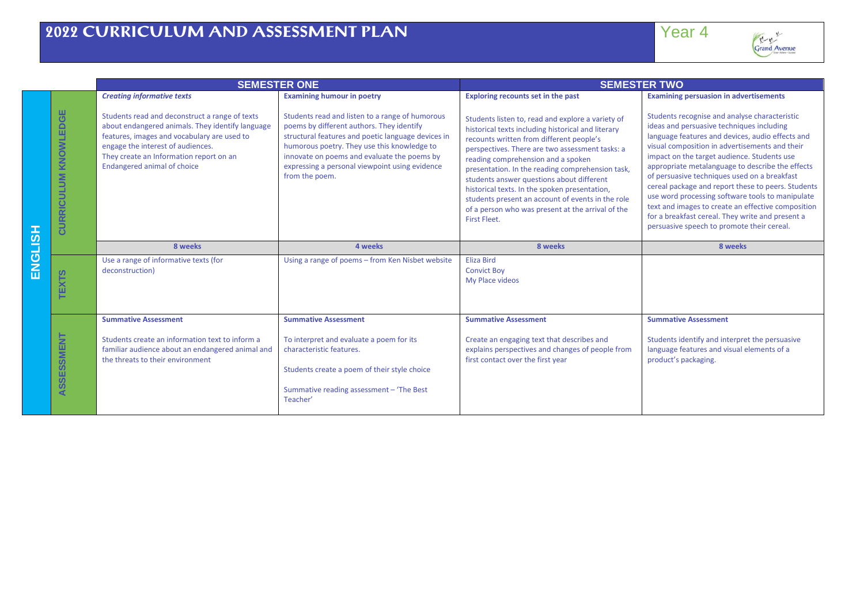| Ŷ               |  |
|-----------------|--|
|                 |  |
| Grand A<br>went |  |

|                |                                              |                                                                                                                                                                                                                                                                         | <b>SEMESTER ONE</b>                                                                                                                                                                                                                                                                                                  |                                                                                                                                                                                                                                                                                                                                                                                                                                                                                                                          | <b>SEMESTER TWO</b>                                                                                                                                                                                                                                                                                                                                                                                                                                                                                                                                                                                                   |  |
|----------------|----------------------------------------------|-------------------------------------------------------------------------------------------------------------------------------------------------------------------------------------------------------------------------------------------------------------------------|----------------------------------------------------------------------------------------------------------------------------------------------------------------------------------------------------------------------------------------------------------------------------------------------------------------------|--------------------------------------------------------------------------------------------------------------------------------------------------------------------------------------------------------------------------------------------------------------------------------------------------------------------------------------------------------------------------------------------------------------------------------------------------------------------------------------------------------------------------|-----------------------------------------------------------------------------------------------------------------------------------------------------------------------------------------------------------------------------------------------------------------------------------------------------------------------------------------------------------------------------------------------------------------------------------------------------------------------------------------------------------------------------------------------------------------------------------------------------------------------|--|
|                |                                              | <b>Creating informative texts</b>                                                                                                                                                                                                                                       | <b>Examining humour in poetry</b>                                                                                                                                                                                                                                                                                    | <b>Exploring recounts set in the past</b>                                                                                                                                                                                                                                                                                                                                                                                                                                                                                | <b>Examining persuasion in advertisements</b>                                                                                                                                                                                                                                                                                                                                                                                                                                                                                                                                                                         |  |
| <b>HSITONE</b> | KNOWLEDGE<br><b>CURRICULUM</b>               | Students read and deconstruct a range of texts<br>about endangered animals. They identify language<br>features, images and vocabulary are used to<br>engage the interest of audiences.<br>They create an Information report on an<br><b>Endangered animal of choice</b> | Students read and listen to a range of humorous<br>poems by different authors. They identify<br>structural features and poetic language devices in<br>humorous poetry. They use this knowledge to<br>innovate on poems and evaluate the poems by<br>expressing a personal viewpoint using evidence<br>from the poem. | Students listen to, read and explore a variety of<br>historical texts including historical and literary<br>recounts written from different people's<br>perspectives. There are two assessment tasks: a<br>reading comprehension and a spoken<br>presentation. In the reading comprehension task,<br>students answer questions about different<br>historical texts. In the spoken presentation,<br>students present an account of events in the role<br>of a person who was present at the arrival of the<br>First Fleet. | Students recognise and analyse characteristic<br>ideas and persuasive techniques including<br>language features and devices, audio effects and<br>visual composition in advertisements and their<br>impact on the target audience. Students use<br>appropriate metalanguage to describe the effects<br>of persuasive techniques used on a breakfast<br>cereal package and report these to peers. Students<br>use word processing software tools to manipulate<br>text and images to create an effective composition<br>for a breakfast cereal. They write and present a<br>persuasive speech to promote their cereal. |  |
|                |                                              | 8 weeks                                                                                                                                                                                                                                                                 | 4 weeks                                                                                                                                                                                                                                                                                                              | 8 weeks                                                                                                                                                                                                                                                                                                                                                                                                                                                                                                                  | 8 weeks                                                                                                                                                                                                                                                                                                                                                                                                                                                                                                                                                                                                               |  |
|                | ທ<br><b>EXE</b>                              | Use a range of informative texts (for<br>deconstruction)                                                                                                                                                                                                                | Using a range of poems - from Ken Nisbet website                                                                                                                                                                                                                                                                     | <b>Eliza Bird</b><br><b>Convict Boy</b><br>My Place videos                                                                                                                                                                                                                                                                                                                                                                                                                                                               |                                                                                                                                                                                                                                                                                                                                                                                                                                                                                                                                                                                                                       |  |
|                | <b>SSMENT</b><br>SSE<br>$\blacktriangleleft$ | <b>Summative Assessment</b><br>Students create an information text to inform a<br>familiar audience about an endangered animal and<br>the threats to their environment                                                                                                  | <b>Summative Assessment</b><br>To interpret and evaluate a poem for its<br>characteristic features.<br>Students create a poem of their style choice<br>Summative reading assessment - 'The Best<br>Teacher'                                                                                                          | <b>Summative Assessment</b><br>Create an engaging text that describes and<br>explains perspectives and changes of people from<br>first contact over the first year                                                                                                                                                                                                                                                                                                                                                       | <b>Summative Assessment</b><br>Students identify and interpret the persuasive<br>language features and visual elements of a<br>product's packaging.                                                                                                                                                                                                                                                                                                                                                                                                                                                                   |  |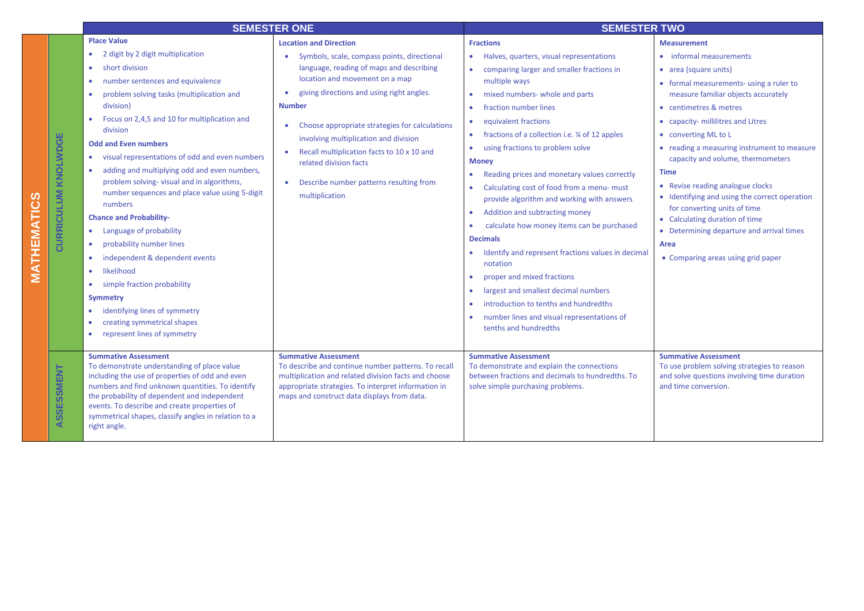|                            | <b>SEMESTER ONE</b>                                                                                                                                                                                                                                                                                                                                                                                                                                                                                                                                                                                                                                                                                                                                                                                |                                                                                                                                                                                                                                                                                                                                                                                                                                                                                                 | <b>SEMESTER TWO</b>                                                                                                                                                                                                                                                                                                                                                                                                                                                                                                                                                                                                                                                                                                                                                                                                                                                                                                                                                 |                                                                                                                                                                                                                                                                                                                                                                                                                                                                                                                                                                                                       |
|----------------------------|----------------------------------------------------------------------------------------------------------------------------------------------------------------------------------------------------------------------------------------------------------------------------------------------------------------------------------------------------------------------------------------------------------------------------------------------------------------------------------------------------------------------------------------------------------------------------------------------------------------------------------------------------------------------------------------------------------------------------------------------------------------------------------------------------|-------------------------------------------------------------------------------------------------------------------------------------------------------------------------------------------------------------------------------------------------------------------------------------------------------------------------------------------------------------------------------------------------------------------------------------------------------------------------------------------------|---------------------------------------------------------------------------------------------------------------------------------------------------------------------------------------------------------------------------------------------------------------------------------------------------------------------------------------------------------------------------------------------------------------------------------------------------------------------------------------------------------------------------------------------------------------------------------------------------------------------------------------------------------------------------------------------------------------------------------------------------------------------------------------------------------------------------------------------------------------------------------------------------------------------------------------------------------------------|-------------------------------------------------------------------------------------------------------------------------------------------------------------------------------------------------------------------------------------------------------------------------------------------------------------------------------------------------------------------------------------------------------------------------------------------------------------------------------------------------------------------------------------------------------------------------------------------------------|
| <b>CURRICULUM KNOLWDGE</b> | <b>Place Value</b><br>2 digit by 2 digit multiplication<br>short division<br>$\bullet$<br>number sentences and equivalence<br>problem solving tasks (multiplication and<br>division)<br>Focus on 2,4,5 and 10 for multiplication and<br>division<br><b>Odd and Even numbers</b><br>visual representations of odd and even numbers<br>adding and multiplying odd and even numbers,<br>problem solving-visual and in algorithms,<br>number sequences and place value using 5-digit<br>numbers<br><b>Chance and Probability-</b><br>Language of probability<br>probability number lines<br>independent & dependent events<br>likelihood<br>$\bullet$<br>simple fraction probability<br><b>Symmetry</b><br>identifying lines of symmetry<br>creating symmetrical shapes<br>represent lines of symmetry | <b>Location and Direction</b><br>Symbols, scale, compass points, directional<br>language, reading of maps and describing<br>location and movement on a map<br>giving directions and using right angles.<br>$\bullet$<br><b>Number</b><br>Choose appropriate strategies for calculations<br>involving multiplication and division<br>Recall multiplication facts to 10 x 10 and<br>$\bullet$<br>related division facts<br>Describe number patterns resulting from<br>$\bullet$<br>multiplication | <b>Fractions</b><br>Halves, quarters, visual representations<br>۰<br>comparing larger and smaller fractions in<br>$\bullet$<br>multiple ways<br>mixed numbers- whole and parts<br>$\bullet$<br>fraction number lines<br>$\bullet$<br>equivalent fractions<br>۰<br>fractions of a collection i.e. ¼ of 12 apples<br>$\bullet$<br>using fractions to problem solve<br>$\bullet$<br><b>Money</b><br>Reading prices and monetary values correctly<br>٠<br>Calculating cost of food from a menu-must<br>۰<br>provide algorithm and working with answers<br>Addition and subtracting money<br>$\bullet$<br>calculate how money items can be purchased<br><b>Decimals</b><br>Identify and represent fractions values in decimal<br>٠<br>notation<br>proper and mixed fractions<br>٠<br>largest and smallest decimal numbers<br>$\bullet$<br>introduction to tenths and hundredths<br>$\bullet$<br>number lines and visual representations of<br>۰<br>tenths and hundredths | <b>Measurement</b><br>• informal measurements<br>• area (square units)<br>• formal measurements- using a ruler to<br>measure familiar objects accurately<br>• centimetres & metres<br>• capacity- millilitres and Litres<br>• converting ML to L<br>• reading a measuring instrument to measure<br>capacity and volume, thermometers<br><b>Time</b><br>• Revise reading analogue clocks<br>• Identifying and using the correct operation<br>for converting units of time<br>• Calculating duration of time<br>• Determining departure and arrival times<br>Area<br>• Comparing areas using grid paper |
| ASSESSMENT                 | <b>Summative Assessment</b><br>To demonstrate understanding of place value<br>including the use of properties of odd and even<br>numbers and find unknown quantities. To identify<br>the probability of dependent and independent<br>events. To describe and create properties of<br>symmetrical shapes, classify angles in relation to a<br>right angle.                                                                                                                                                                                                                                                                                                                                                                                                                                          | <b>Summative Assessment</b><br>To describe and continue number patterns. To recall<br>multiplication and related division facts and choose<br>appropriate strategies. To interpret information in<br>maps and construct data displays from data.                                                                                                                                                                                                                                                | <b>Summative Assessment</b><br>To demonstrate and explain the connections<br>between fractions and decimals to hundredths. To<br>solve simple purchasing problems.                                                                                                                                                                                                                                                                                                                                                                                                                                                                                                                                                                                                                                                                                                                                                                                                  | <b>Summative Assessment</b><br>To use problem solving strategies to reason<br>and solve questions involving time duration<br>and time conversion.                                                                                                                                                                                                                                                                                                                                                                                                                                                     |

**MATHEMATICS**

**MATHEMATICS**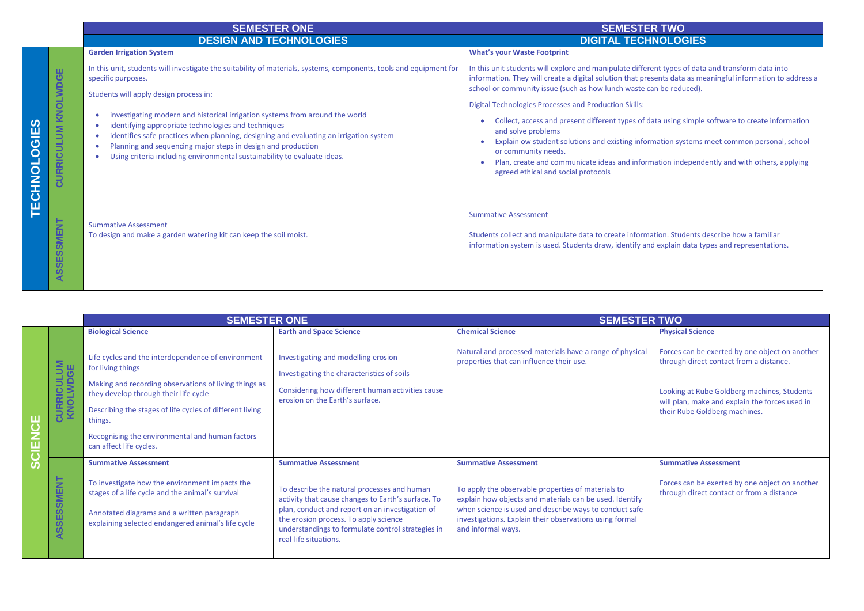|                         |                                                                                 | <b>SEMESTER ONE</b>                                                                                                                                                                                                                                                                                                                                                                                                                                                                                                                                             | <b>SEMESTER TWO</b>                                                                                                                                                                                                                                                                                                                                                                                                                                                                                                                                                                                                                                                                                                                       |  |
|-------------------------|---------------------------------------------------------------------------------|-----------------------------------------------------------------------------------------------------------------------------------------------------------------------------------------------------------------------------------------------------------------------------------------------------------------------------------------------------------------------------------------------------------------------------------------------------------------------------------------------------------------------------------------------------------------|-------------------------------------------------------------------------------------------------------------------------------------------------------------------------------------------------------------------------------------------------------------------------------------------------------------------------------------------------------------------------------------------------------------------------------------------------------------------------------------------------------------------------------------------------------------------------------------------------------------------------------------------------------------------------------------------------------------------------------------------|--|
|                         |                                                                                 | <b>DESIGN AND TECHNOLOGIES</b>                                                                                                                                                                                                                                                                                                                                                                                                                                                                                                                                  | <b>DIGITAL TECHNOLOGIES</b>                                                                                                                                                                                                                                                                                                                                                                                                                                                                                                                                                                                                                                                                                                               |  |
|                         |                                                                                 | <b>Garden Irrigation System</b>                                                                                                                                                                                                                                                                                                                                                                                                                                                                                                                                 | <b>What's your Waste Footprint</b>                                                                                                                                                                                                                                                                                                                                                                                                                                                                                                                                                                                                                                                                                                        |  |
| ທ<br><b>TECHNOLOGIE</b> | ш<br><b>WDG</b><br>KNOL1<br>§<br>5<br>$\frac{c}{\alpha}$<br>5<br>$\overline{O}$ | In this unit, students will investigate the suitability of materials, systems, components, tools and equipment for<br>specific purposes.<br>Students will apply design process in:<br>investigating modern and historical irrigation systems from around the world<br>identifying appropriate technologies and techniques<br>identifies safe practices when planning, designing and evaluating an irrigation system<br>Planning and sequencing major steps in design and production<br>Using criteria including environmental sustainability to evaluate ideas. | In this unit students will explore and manipulate different types of data and transform data into<br>information. They will create a digital solution that presents data as meaningful information to address a<br>school or community issue (such as how lunch waste can be reduced).<br><b>Digital Technologies Processes and Production Skills:</b><br>Collect, access and present different types of data using simple software to create information<br>and solve problems<br>Explain ow student solutions and existing information systems meet common personal, school<br>or community needs.<br>Plan, create and communicate ideas and information independently and with others, applying<br>agreed ethical and social protocols |  |
|                         | Ξ<br>ш<br>ΜS<br>ഗ<br>ш<br>ທ<br>ທ<br>◀                                           | <b>Summative Assessment</b><br>To design and make a garden watering kit can keep the soil moist.                                                                                                                                                                                                                                                                                                                                                                                                                                                                | <b>Summative Assessment</b><br>Students collect and manipulate data to create information. Students describe how a familiar<br>information system is used. Students draw, identify and explain data types and representations.                                                                                                                                                                                                                                                                                                                                                                                                                                                                                                            |  |

|        |                                         | <b>SEMESTER ONE</b>                                                                                                                                                                                    |                                                                                                                                                                                                                                                                             | <b>SEMESTER TWO</b>                                                                                                                                                                                                                                      |                                                                                                                                                                                            |
|--------|-----------------------------------------|--------------------------------------------------------------------------------------------------------------------------------------------------------------------------------------------------------|-----------------------------------------------------------------------------------------------------------------------------------------------------------------------------------------------------------------------------------------------------------------------------|----------------------------------------------------------------------------------------------------------------------------------------------------------------------------------------------------------------------------------------------------------|--------------------------------------------------------------------------------------------------------------------------------------------------------------------------------------------|
|        |                                         | <b>Biological Science</b>                                                                                                                                                                              | <b>Earth and Space Science</b>                                                                                                                                                                                                                                              | <b>Chemical Science</b>                                                                                                                                                                                                                                  | <b>Physical Science</b>                                                                                                                                                                    |
|        |                                         | Life cycles and the interdependence of environment<br>for living things<br>Making and recording observations of living things as<br>they develop through their life cycle                              | Investigating and modelling erosion<br>Investigating the characteristics of soils<br>Considering how different human activities cause<br>erosion on the Earth's surface.                                                                                                    | Natural and processed materials have a range of physical<br>properties that can influence their use.                                                                                                                                                     | Forces can be exerted by one object on another<br>through direct contact from a distance.<br>Looking at Rube Goldberg machines, Students<br>will plan, make and explain the forces used in |
|        |                                         | Describing the stages of life cycles of different living<br>things.                                                                                                                                    |                                                                                                                                                                                                                                                                             |                                                                                                                                                                                                                                                          | their Rube Goldberg machines.                                                                                                                                                              |
| CIENCE |                                         | Recognising the environmental and human factors<br>can affect life cycles.                                                                                                                             |                                                                                                                                                                                                                                                                             |                                                                                                                                                                                                                                                          |                                                                                                                                                                                            |
| ທ      |                                         | <b>Summative Assessment</b>                                                                                                                                                                            | <b>Summative Assessment</b>                                                                                                                                                                                                                                                 | <b>Summative Assessment</b>                                                                                                                                                                                                                              | <b>Summative Assessment</b>                                                                                                                                                                |
|        | Ξ<br>SSMEI<br>Ŵ.<br>ທ<br><b>SO</b><br>◀ | To investigate how the environment impacts the<br>stages of a life cycle and the animal's survival<br>Annotated diagrams and a written paragraph<br>explaining selected endangered animal's life cycle | To describe the natural processes and human<br>activity that cause changes to Earth's surface. To<br>plan, conduct and report on an investigation of<br>the erosion process. To apply science<br>understandings to formulate control strategies in<br>real-life situations. | To apply the observable properties of materials to<br>explain how objects and materials can be used. Identify<br>when science is used and describe ways to conduct safe<br>investigations. Explain their observations using formal<br>and informal ways. | Forces can be exerted by one object on another<br>through direct contact or from a distance                                                                                                |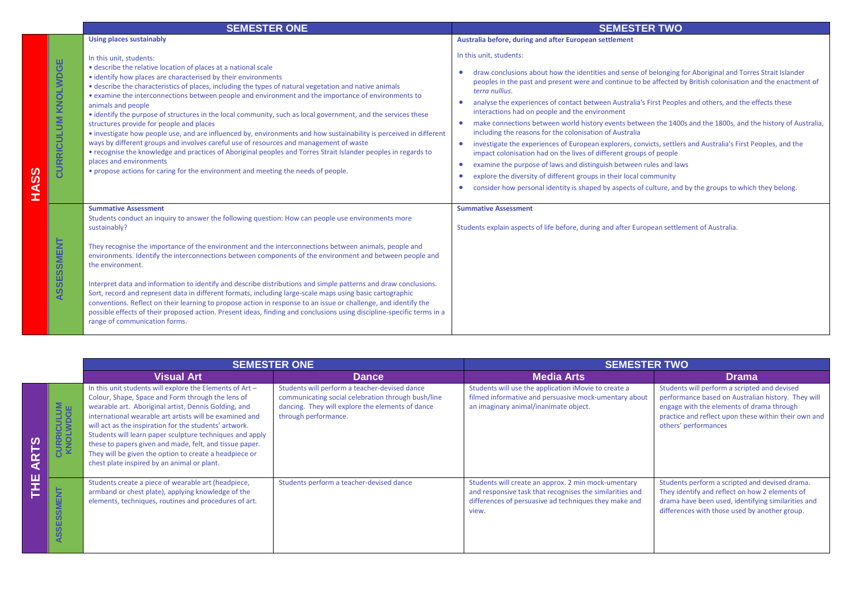|                     | <b>SEMESTER ONE</b>                                                                                                                                                                                                                                                                                                                                                                                                                                                                                                                                                                                                                                                                                                                                                                                                                                                                                                                                                                                              | <b>SEMESTER TWO</b>                                                                                                                                                                                                                                                                                                                                                                                                                                                                                                                                                                                                                                                                                                                                                                                                                                                                                                                                                                                                                                                                                 |
|---------------------|------------------------------------------------------------------------------------------------------------------------------------------------------------------------------------------------------------------------------------------------------------------------------------------------------------------------------------------------------------------------------------------------------------------------------------------------------------------------------------------------------------------------------------------------------------------------------------------------------------------------------------------------------------------------------------------------------------------------------------------------------------------------------------------------------------------------------------------------------------------------------------------------------------------------------------------------------------------------------------------------------------------|-----------------------------------------------------------------------------------------------------------------------------------------------------------------------------------------------------------------------------------------------------------------------------------------------------------------------------------------------------------------------------------------------------------------------------------------------------------------------------------------------------------------------------------------------------------------------------------------------------------------------------------------------------------------------------------------------------------------------------------------------------------------------------------------------------------------------------------------------------------------------------------------------------------------------------------------------------------------------------------------------------------------------------------------------------------------------------------------------------|
|                     | <b>Using places sustainably</b>                                                                                                                                                                                                                                                                                                                                                                                                                                                                                                                                                                                                                                                                                                                                                                                                                                                                                                                                                                                  | Australia before, during and after European settlement                                                                                                                                                                                                                                                                                                                                                                                                                                                                                                                                                                                                                                                                                                                                                                                                                                                                                                                                                                                                                                              |
| CURRICULUM KNOLWDGE | In this unit, students:<br>. describe the relative location of places at a national scale<br>• identify how places are characterised by their environments<br>• describe the characteristics of places, including the types of natural vegetation and native animals<br>• examine the interconnections between people and environment and the importance of environments to<br>animals and people<br>• identify the purpose of structures in the local community, such as local government, and the services these<br>structures provide for people and places<br>• investigate how people use, and are influenced by, environments and how sustainability is perceived in different<br>ways by different groups and involves careful use of resources and management of waste<br>• recognise the knowledge and practices of Aboriginal peoples and Torres Strait Islander peoples in regards to<br>places and environments<br>• propose actions for caring for the environment and meeting the needs of people. | In this unit, students:<br>draw conclusions about how the identities and sense of belonging for Aboriginal and Torres Strait Islander<br>peoples in the past and present were and continue to be affected by British colonisation and the enactment of<br>terra nullius.<br>analyse the experiences of contact between Australia's First Peoples and others, and the effects these<br>interactions had on people and the environment<br>make connections between world history events between the 1400s and the 1800s, and the history of Australia,<br>$\bullet$<br>including the reasons for the colonisation of Australia<br>investigate the experiences of European explorers, convicts, settlers and Australia's First Peoples, and the<br>$\bullet$<br>impact colonisation had on the lives of different groups of people<br>examine the purpose of laws and distinguish between rules and laws<br>$\bullet$<br>explore the diversity of different groups in their local community<br>consider how personal identity is shaped by aspects of culture, and by the groups to which they belong. |
| ASSESSMENT          | <b>Summative Assessment</b><br>Students conduct an inquiry to answer the following question: How can people use environments more<br>sustainably?<br>They recognise the importance of the environment and the interconnections between animals, people and<br>environments. Identify the interconnections between components of the environment and between people and<br>the environment.<br>Interpret data and information to identify and describe distributions and simple patterns and draw conclusions.<br>Sort, record and represent data in different formats, including large-scale maps using basic cartographic<br>conventions. Reflect on their learning to propose action in response to an issue or challenge, and identify the<br>possible effects of their proposed action. Present ideas, finding and conclusions using discipline-specific terms in a<br>range of communication forms.                                                                                                         | <b>Summative Assessment</b><br>Students explain aspects of life before, during and after European settlement of Australia.                                                                                                                                                                                                                                                                                                                                                                                                                                                                                                                                                                                                                                                                                                                                                                                                                                                                                                                                                                          |

**HASS**

|        |                               | <b>SEMESTER ONE</b>                                                                                                                                                                                                                                                                                                                                                                                                                                                                                                        |                                                                                                                                                                                 | <b>SEMESTER TWO</b>                                                                                                                                                               |                                                                                                                                                                                                                                 |
|--------|-------------------------------|----------------------------------------------------------------------------------------------------------------------------------------------------------------------------------------------------------------------------------------------------------------------------------------------------------------------------------------------------------------------------------------------------------------------------------------------------------------------------------------------------------------------------|---------------------------------------------------------------------------------------------------------------------------------------------------------------------------------|-----------------------------------------------------------------------------------------------------------------------------------------------------------------------------------|---------------------------------------------------------------------------------------------------------------------------------------------------------------------------------------------------------------------------------|
|        |                               | <b>Visual Art</b>                                                                                                                                                                                                                                                                                                                                                                                                                                                                                                          | <b>Dance</b>                                                                                                                                                                    | <b>Media Arts</b>                                                                                                                                                                 | <b>Drama</b>                                                                                                                                                                                                                    |
| ⋖<br>ш | <b>CURRICULUM</b><br>KNOLWDGE | In this unit students will explore the Elements of Art -<br>Colour, Shape, Space and Form through the lens of<br>wearable art. Aboriginal artist, Dennis Golding, and<br>international wearable art artists will be examined and<br>will act as the inspiration for the students' artwork.<br>Students will learn paper sculpture techniques and apply<br>these to papers given and made, felt, and tissue paper.<br>They will be given the option to create a headpiece or<br>chest plate inspired by an animal or plant. | Students will perform a teacher-devised dance<br>communicating social celebration through bush/line<br>dancing. They will explore the elements of dance<br>through performance. | Students will use the application iMovie to create a<br>filmed informative and persuasive mock-umentary about<br>an imaginary animal/inanimate object.                            | Students will perform a scripted and devised<br>performance based on Australian history. They will<br>engage with the elements of drama through<br>practice and reflect upon these within their own and<br>others' performances |
|        | E<br>ASSESSME                 | Students create a piece of wearable art (headpiece,<br>armband or chest plate), applying knowledge of the<br>elements, techniques, routines and procedures of art.                                                                                                                                                                                                                                                                                                                                                         | Students perform a teacher-devised dance                                                                                                                                        | Students will create an approx. 2 min mock-umentary<br>and responsive task that recognises the similarities and<br>differences of persuasive ad techniques they make and<br>view. | Students perform a scripted and devised drama.<br>They identify and reflect on how 2 elements of<br>drama have been used, identifying similarities and<br>differences with those used by another group.                         |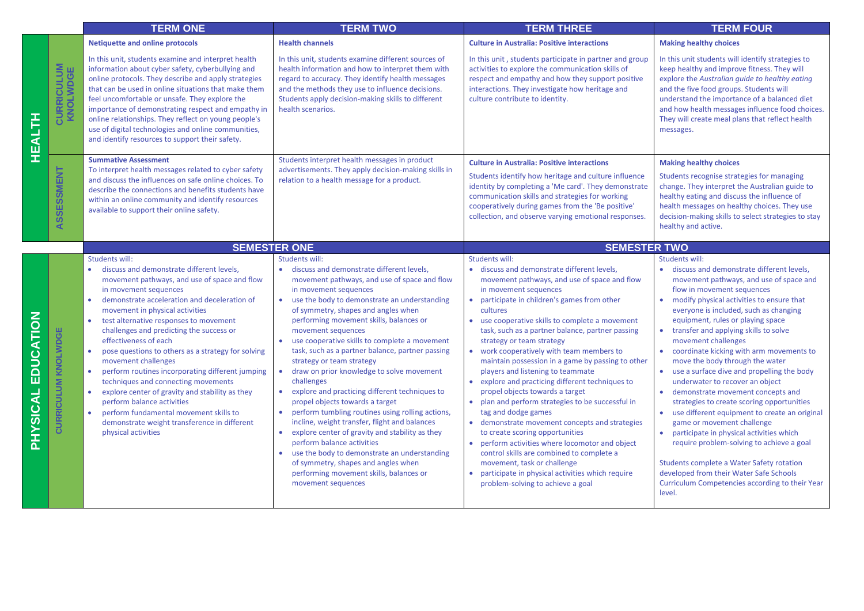|                                                                                   |                               | <b>TERM ONE</b>                                                                                                                                                                                                                                                                                                                                                                                                                                                                                                                                                                                                                                                                                                                                                 | <b>TERM TWO</b>                                                                                                                                                                                                                                                                                                                                                                                                                                                                                                                                                                                                                                                                                                                                                                                                                                                                                                           | <b>TERM THREE</b>                                                                                                                                                                                                                                                                                                                                                                                                                                                                                                                                                                                                                                                                                                                                                                                                                                                                                                                                                 | <b>TERM FOUR</b>                                                                                                                                                                                                                                                                                                                                                                                                                                                                                                                                                                                                                                                                                                                                                                                                                                                                                                                          |
|-----------------------------------------------------------------------------------|-------------------------------|-----------------------------------------------------------------------------------------------------------------------------------------------------------------------------------------------------------------------------------------------------------------------------------------------------------------------------------------------------------------------------------------------------------------------------------------------------------------------------------------------------------------------------------------------------------------------------------------------------------------------------------------------------------------------------------------------------------------------------------------------------------------|---------------------------------------------------------------------------------------------------------------------------------------------------------------------------------------------------------------------------------------------------------------------------------------------------------------------------------------------------------------------------------------------------------------------------------------------------------------------------------------------------------------------------------------------------------------------------------------------------------------------------------------------------------------------------------------------------------------------------------------------------------------------------------------------------------------------------------------------------------------------------------------------------------------------------|-------------------------------------------------------------------------------------------------------------------------------------------------------------------------------------------------------------------------------------------------------------------------------------------------------------------------------------------------------------------------------------------------------------------------------------------------------------------------------------------------------------------------------------------------------------------------------------------------------------------------------------------------------------------------------------------------------------------------------------------------------------------------------------------------------------------------------------------------------------------------------------------------------------------------------------------------------------------|-------------------------------------------------------------------------------------------------------------------------------------------------------------------------------------------------------------------------------------------------------------------------------------------------------------------------------------------------------------------------------------------------------------------------------------------------------------------------------------------------------------------------------------------------------------------------------------------------------------------------------------------------------------------------------------------------------------------------------------------------------------------------------------------------------------------------------------------------------------------------------------------------------------------------------------------|
|                                                                                   |                               | <b>Netiquette and online protocols</b>                                                                                                                                                                                                                                                                                                                                                                                                                                                                                                                                                                                                                                                                                                                          | <b>Health channels</b>                                                                                                                                                                                                                                                                                                                                                                                                                                                                                                                                                                                                                                                                                                                                                                                                                                                                                                    | <b>Culture in Australia: Positive interactions</b>                                                                                                                                                                                                                                                                                                                                                                                                                                                                                                                                                                                                                                                                                                                                                                                                                                                                                                                | <b>Making healthy choices</b>                                                                                                                                                                                                                                                                                                                                                                                                                                                                                                                                                                                                                                                                                                                                                                                                                                                                                                             |
| _ا<br>4<br>띺                                                                      | <b>CURRICULUM</b><br>KNOLWDGE | In this unit, students examine and interpret health<br>information about cyber safety, cyberbullying and<br>online protocols. They describe and apply strategies<br>that can be used in online situations that make them<br>feel uncomfortable or unsafe. They explore the<br>importance of demonstrating respect and empathy in<br>online relationships. They reflect on young people's<br>use of digital technologies and online communities,<br>and identify resources to support their safety.                                                                                                                                                                                                                                                              | In this unit, students examine different sources of<br>health information and how to interpret them with<br>regard to accuracy. They identify health messages<br>and the methods they use to influence decisions.<br>Students apply decision-making skills to different<br>health scenarios.                                                                                                                                                                                                                                                                                                                                                                                                                                                                                                                                                                                                                              | In this unit, students participate in partner and group<br>activities to explore the communication skills of<br>respect and empathy and how they support positive<br>interactions. They investigate how heritage and<br>culture contribute to identity.                                                                                                                                                                                                                                                                                                                                                                                                                                                                                                                                                                                                                                                                                                           | In this unit students will identify strategies to<br>keep healthy and improve fitness. They will<br>explore the Australian quide to healthy eating<br>and the five food groups. Students will<br>understand the importance of a balanced diet<br>and how health messages influence food choices.<br>They will create meal plans that reflect health<br>messages.                                                                                                                                                                                                                                                                                                                                                                                                                                                                                                                                                                          |
|                                                                                   | ASSESSMENT                    | <b>Summative Assessment</b><br>To interpret health messages related to cyber safety<br>and discuss the influences on safe online choices. To<br>describe the connections and benefits students have<br>within an online community and identify resources<br>available to support their online safety.                                                                                                                                                                                                                                                                                                                                                                                                                                                           | Students interpret health messages in product<br>advertisements. They apply decision-making skills in<br>relation to a health message for a product.                                                                                                                                                                                                                                                                                                                                                                                                                                                                                                                                                                                                                                                                                                                                                                      | <b>Culture in Australia: Positive interactions</b><br>Students identify how heritage and culture influence<br>identity by completing a 'Me card'. They demonstrate<br>communication skills and strategies for working<br>cooperatively during games from the 'Be positive'<br>collection, and observe varying emotional responses.                                                                                                                                                                                                                                                                                                                                                                                                                                                                                                                                                                                                                                | <b>Making healthy choices</b><br>Students recognise strategies for managing<br>change. They interpret the Australian guide to<br>healthy eating and discuss the influence of<br>health messages on healthy choices. They use<br>decision-making skills to select strategies to stay<br>healthy and active.                                                                                                                                                                                                                                                                                                                                                                                                                                                                                                                                                                                                                                |
|                                                                                   |                               | <b>SEMESTER ONE</b>                                                                                                                                                                                                                                                                                                                                                                                                                                                                                                                                                                                                                                                                                                                                             |                                                                                                                                                                                                                                                                                                                                                                                                                                                                                                                                                                                                                                                                                                                                                                                                                                                                                                                           | <b>SEMESTER TWO</b>                                                                                                                                                                                                                                                                                                                                                                                                                                                                                                                                                                                                                                                                                                                                                                                                                                                                                                                                               |                                                                                                                                                                                                                                                                                                                                                                                                                                                                                                                                                                                                                                                                                                                                                                                                                                                                                                                                           |
|                                                                                   |                               | Students will:                                                                                                                                                                                                                                                                                                                                                                                                                                                                                                                                                                                                                                                                                                                                                  | <b>Students will:</b>                                                                                                                                                                                                                                                                                                                                                                                                                                                                                                                                                                                                                                                                                                                                                                                                                                                                                                     | <b>Students will:</b>                                                                                                                                                                                                                                                                                                                                                                                                                                                                                                                                                                                                                                                                                                                                                                                                                                                                                                                                             | Students will:                                                                                                                                                                                                                                                                                                                                                                                                                                                                                                                                                                                                                                                                                                                                                                                                                                                                                                                            |
| <b>CATION</b><br>)<br>בם<br>$\overline{\mathbf{A}}$<br><u>ပ်</u><br>၈<br><b>Q</b> | <b>CURRICULUM KNOLWDGE</b>    | discuss and demonstrate different levels,<br>movement pathways, and use of space and flow<br>in movement sequences<br>demonstrate acceleration and deceleration of<br>$\bullet$<br>movement in physical activities<br>test alternative responses to movement<br>$\bullet$<br>challenges and predicting the success or<br>effectiveness of each<br>pose questions to others as a strategy for solving<br>$\bullet$<br>movement challenges<br>perform routines incorporating different jumping<br>$\bullet$<br>techniques and connecting movements<br>explore center of gravity and stability as they<br>$\bullet$<br>perform balance activities<br>perform fundamental movement skills to<br>demonstrate weight transference in different<br>physical activities | · discuss and demonstrate different levels,<br>movement pathways, and use of space and flow<br>in movement sequences<br>use the body to demonstrate an understanding<br>of symmetry, shapes and angles when<br>performing movement skills, balances or<br>movement sequences<br>use cooperative skills to complete a movement<br>task, such as a partner balance, partner passing<br>strategy or team strategy<br>draw on prior knowledge to solve movement<br>$\bullet$<br>challenges<br>explore and practicing different techniques to<br>propel objects towards a target<br>perform tumbling routines using rolling actions,<br>incline, weight transfer, flight and balances<br>explore center of gravity and stability as they<br>perform balance activities<br>use the body to demonstrate an understanding<br>of symmetry, shapes and angles when<br>performing movement skills, balances or<br>movement sequences | · discuss and demonstrate different levels,<br>movement pathways, and use of space and flow<br>in movement sequences<br>participate in children's games from other<br>$\bullet$<br>cultures<br>use cooperative skills to complete a movement<br>task, such as a partner balance, partner passing<br>strategy or team strategy<br>• work cooperatively with team members to<br>maintain possession in a game by passing to other<br>players and listening to teammate<br>• explore and practicing different techniques to<br>propel objects towards a target<br>• plan and perform strategies to be successful in<br>tag and dodge games<br>• demonstrate movement concepts and strategies<br>to create scoring opportunities<br>• perform activities where locomotor and object<br>control skills are combined to complete a<br>movement, task or challenge<br>participate in physical activities which require<br>$\bullet$<br>problem-solving to achieve a goal | · discuss and demonstrate different levels,<br>movement pathways, and use of space and<br>flow in movement sequences<br>modify physical activities to ensure that<br>$\bullet$<br>everyone is included, such as changing<br>equipment, rules or playing space<br>• transfer and applying skills to solve<br>movement challenges<br>coordinate kicking with arm movements to<br>$\bullet$<br>move the body through the water<br>use a surface dive and propelling the body<br>$\bullet$<br>underwater to recover an object<br>demonstrate movement concepts and<br>strategies to create scoring opportunities<br>use different equipment to create an original<br>game or movement challenge<br>participate in physical activities which<br>require problem-solving to achieve a goal<br>Students complete a Water Safety rotation<br>developed from their Water Safe Schools<br>Curriculum Competencies according to their Year<br>level. |